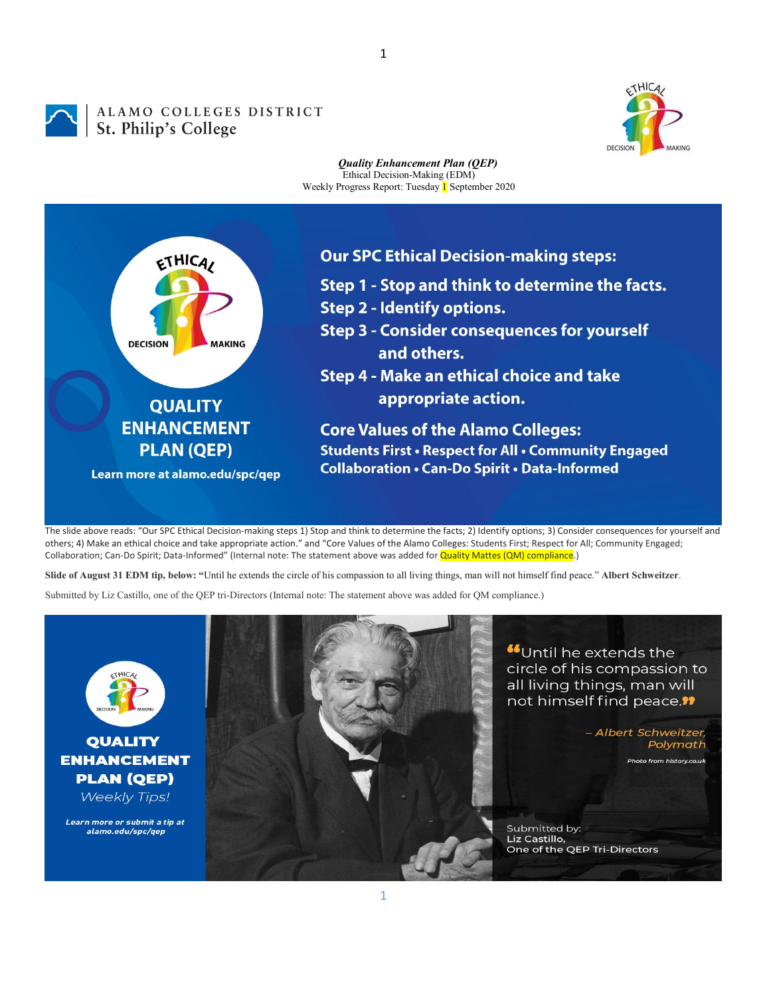## ALAMO COLLEGES DISTRICT ALAMO COLLEGES<br>St. Philip's College



## *Quality Enhancement Plan (QEP)* Ethical Decision-Making (EDM) Weekly Progress Report: Tuesday 1 September 2020



The slide above reads: "Our SPC Ethical Decision-making steps 1) Stop and think to determine the facts; 2) Identify options; 3) Consider consequences for yourself and others; 4) Make an ethical choice and take appropriate action." and "Core Values of the Alamo Colleges: Students First; Respect for All; Community Engaged; Collaboration; Can-Do Spirit; Data-Informed" (Internal note: The statement above was added for **Quality Mattes (QM) compliance**.)

**Slide of August 31 EDM tip, below: "**Until he extends the circle of his compassion to all living things, man will not himself find peace." **Albert Schweitzer**.

Submitted by Liz Castillo, one of the QEP tri-Directors (Internal note: The statement above was added for QM compliance.)



**QUALITY ENHANCEMENT PLAN (QEP)** 

**Weekly Tips!** 

Learn more or submit a tip at alamo.edu/spc/gep



"Until he extends the circle of his compassion to all living things, man will not himself find peace.<sup>11</sup>

> - Albert Schweitzer, Polymath Photo from history.co.uk

Submitted by: Liz Castillo, One of the QEP Tri-Directors

1